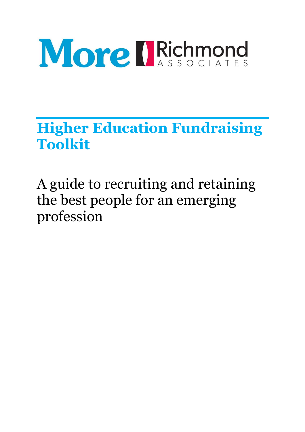

**Higher Education Fundraising Toolkit** 

A guide to recruiting and retaining the best people for an emerging profession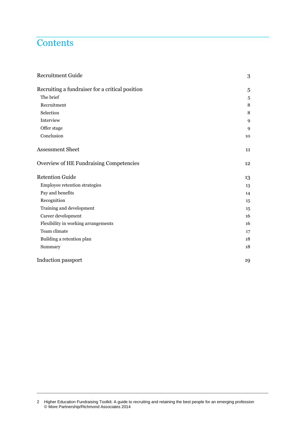## **Contents**

| <b>Recruitment Guide</b>                        | 3  |
|-------------------------------------------------|----|
| Recruiting a fundraiser for a critical position | 5  |
| The brief                                       | 5  |
| Recruitment                                     | 8  |
| Selection                                       | 8  |
| Interview                                       | 9  |
| Offer stage                                     | 9  |
| Conclusion                                      | 10 |
| <b>Assessment Sheet</b>                         | 11 |
| Overview of HE Fundraising Competencies         | 12 |
| <b>Retention Guide</b>                          | 13 |
| Employee retention strategies                   | 13 |
| Pay and benefits                                | 14 |
| Recognition                                     | 15 |
| Training and development                        | 15 |
| Career development                              | 16 |
| Flexibility in working arrangements             | 16 |
| Team climate                                    | 17 |
| Building a retention plan                       | 18 |
| Summary                                         | 18 |
| Induction passport                              | 19 |

<sup>2</sup> Higher Education Fundraising Toolkit: A guide to recruiting and retaining the best people for an emerging profession © More Partnership/Richmond Associates 2014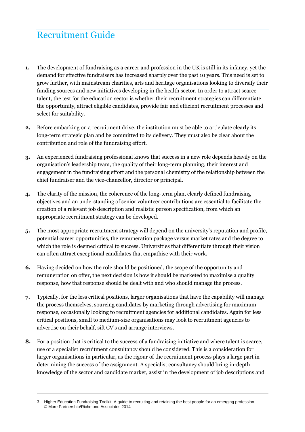# Recruitment Guide

- **1.** The development of fundraising as a career and profession in the UK is still in its infancy, yet the demand for effective fundraisers has increased sharply over the past 10 years. This need is set to grow further, with mainstream charities, arts and heritage organisations looking to diversify their funding sources and new initiatives developing in the health sector. In order to attract scarce talent, the test for the education sector is whether their recruitment strategies can differentiate the opportunity, attract eligible candidates, provide fair and efficient recruitment processes and select for suitability.
- **2.** Before embarking on a recruitment drive, the institution must be able to articulate clearly its long-term strategic plan and be committed to its delivery. They must also be clear about the contribution and role of the fundraising effort.
- **3.** An experienced fundraising professional knows that success in a new role depends heavily on the organisation's leadership team, the quality of their long-term planning, their interest and engagement in the fundraising effort and the personal chemistry of the relationship between the chief fundraiser and the vice-chancellor, director or principal.
- **4.** The clarity of the mission, the coherence of the long-term plan, clearly defined fundraising objectives and an understanding of senior volunteer contributions are essential to facilitate the creation of a relevant job description and realistic person specification, from which an appropriate recruitment strategy can be developed.
- **5.** The most appropriate recruitment strategy will depend on the university's reputation and profile, potential career opportunities, the remuneration package versus market rates and the degree to which the role is deemed critical to success. Universities that differentiate through their vision can often attract exceptional candidates that empathise with their work.
- **6.** Having decided on how the role should be positioned, the scope of the opportunity and remuneration on offer, the next decision is how it should be marketed to maximise a quality response, how that response should be dealt with and who should manage the process.
- **7.** Typically, for the less critical positions, larger organisations that have the capability will manage the process themselves, sourcing candidates by marketing through advertising for maximum response, occasionally looking to recruitment agencies for additional candidates. Again for less critical positions, small to medium-size organisations may look to recruitment agencies to advertise on their behalf, sift CV's and arrange interviews.
- **8.** For a position that is critical to the success of a fundraising initiative and where talent is scarce, use of a specialist recruitment consultancy should be considered. This is a consideration for larger organisations in particular, as the rigour of the recruitment process plays a large part in determining the success of the assignment. A specialist consultancy should bring in-depth knowledge of the sector and candidate market, assist in the development of job descriptions and

Higher Education Fundraising Toolkit: A guide to recruiting and retaining the best people for an emerging profession © More Partnership/Richmond Associates 2014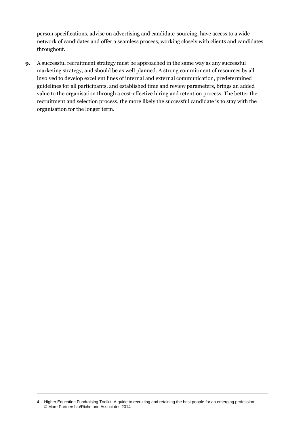person specifications, advise on advertising and candidate-sourcing, have access to a wide network of candidates and offer a seamless process, working closely with clients and candidates throughout.

**9.** A successful recruitment strategy must be approached in the same way as any successful marketing strategy, and should be as well planned. A strong commitment of resources by all involved to develop excellent lines of internal and external communication, predetermined guidelines for all participants, and established time and review parameters, brings an added value to the organisation through a cost-effective hiring and retention process. The better the recruitment and selection process, the more likely the successful candidate is to stay with the organisation for the longer term.

<sup>4</sup> Higher Education Fundraising Toolkit: A guide to recruiting and retaining the best people for an emerging profession © More Partnership/Richmond Associates 2014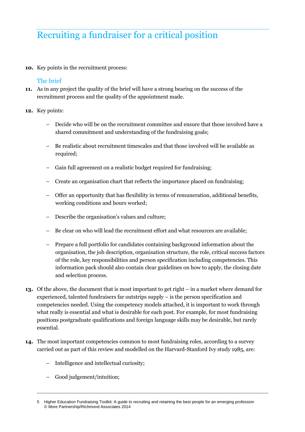# Recruiting a fundraiser for a critical position

**10.** Key points in the recruitment process:

## The brief

- **11.** As in any project the quality of the brief will have a strong bearing on the success of the recruitment process and the quality of the appointment made.
- **12.** Key points:
	- Decide who will be on the recruitment committee and ensure that those involved have a shared commitment and understanding of the fundraising goals;
	- Be realistic about recruitment timescales and that those involved will be available as required;
	- Gain full agreement on a realistic budget required for fundraising;
	- Create an organisation chart that reflects the importance placed on fundraising;
	- Offer an opportunity that has flexibility in terms of remuneration, additional benefits, working conditions and hours worked;
	- Describe the organisation's values and culture;
	- Be clear on who will lead the recruitment effort and what resources are available;
	- Prepare a full portfolio for candidates containing background information about the organisation, the job description, organisation structure, the role, critical success factors of the role, key responsibilities and person specification including competencies. This information pack should also contain clear guidelines on how to apply, the closing date and selection process.
- **13.** Of the above, the document that is most important to get right in a market where demand for experienced, talented fundraisers far outstrips supply – is the person specification and competencies needed. Using the competency models attached, it is important to work through what really is essential and what is desirable for each post. For example, for most fundraising positions postgraduate qualifications and foreign language skills may be desirable, but rarely essential.
- **14.** The most important competencies common to most fundraising roles, according to a survey carried out as part of this review and modelled on the Harvard-Stanford Ivy study 1985, are:
	- Intelligence and intellectual curiosity;
	- Good judgement/intuition;

<sup>5</sup> Higher Education Fundraising Toolkit: A guide to recruiting and retaining the best people for an emerging profession © More Partnership/Richmond Associates 2014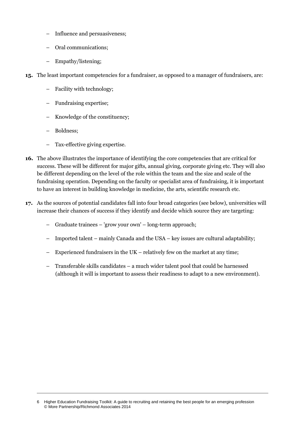- Influence and persuasiveness;
- Oral communications;
- Empathy/listening;
- **15.** The least important competencies for a fundraiser, as opposed to a manager of fundraisers, are:
	- Facility with technology;
	- Fundraising expertise;
	- Knowledge of the constituency;
	- Boldness;
	- Tax-effective giving expertise.
- **16.** The above illustrates the importance of identifying the core competencies that are critical for success. These will be different for major gifts, annual giving, corporate giving etc. They will also be different depending on the level of the role within the team and the size and scale of the fundraising operation. Depending on the faculty or specialist area of fundraising, it is important to have an interest in building knowledge in medicine, the arts, scientific research etc.
- **17.** As the sources of potential candidates fall into four broad categories (see below), universities will increase their chances of success if they identify and decide which source they are targeting:
	- Graduate trainees 'grow your own' long-term approach;
	- Imported talent mainly Canada and the USA key issues are cultural adaptability;
	- Experienced fundraisers in the UK relatively few on the market at any time;
	- Transferable skills candidates a much wider talent pool that could be harnessed (although it will is important to assess their readiness to adapt to a new environment).

<sup>6</sup> Higher Education Fundraising Toolkit: A guide to recruiting and retaining the best people for an emerging profession © More Partnership/Richmond Associates 2014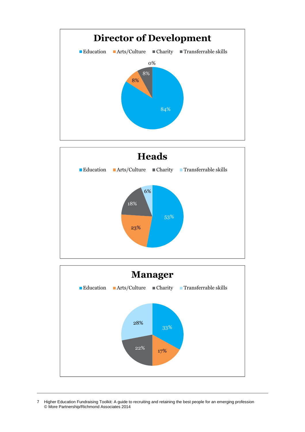



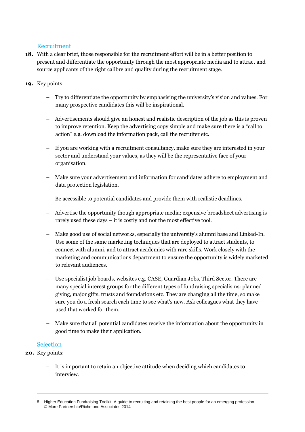## Recruitment

- **18.** With a clear brief, those responsible for the recruitment effort will be in a better position to present and differentiate the opportunity through the most appropriate media and to attract and source applicants of the right calibre and quality during the recruitment stage.
- **19.** Key points:
	- Try to differentiate the opportunity by emphasising the university's vision and values. For many prospective candidates this will be inspirational.
	- Advertisements should give an honest and realistic description of the job as this is proven to improve retention. Keep the advertising copy simple and make sure there is a "call to action" e.g. download the information pack, call the recruiter etc.
	- If you are working with a recruitment consultancy, make sure they are interested in your sector and understand your values, as they will be the representative face of your organisation.
	- Make sure your advertisement and information for candidates adhere to employment and data protection legislation.
	- Be accessible to potential candidates and provide them with realistic deadlines.
	- Advertise the opportunity though appropriate media; expensive broadsheet advertising is rarely used these days – it is costly and not the most effective tool.
	- Make good use of social networks, especially the university's alumni base and Linked-In. Use some of the same marketing techniques that are deployed to attract students, to connect with alumni, and to attract academics with rare skills. Work closely with the marketing and communications department to ensure the opportunity is widely marketed to relevant audiences.
	- Use specialist job boards, websites e.g. CASE, Guardian Jobs, Third Sector. There are many special interest groups for the different types of fundraising specialisms: planned giving, major gifts, trusts and foundations etc. They are changing all the time, so make sure you do a fresh search each time to see what's new. Ask colleagues what they have used that worked for them.
	- Make sure that all potential candidates receive the information about the opportunity in good time to make their application.

#### Selection

- **20.** Key points:
	- It is important to retain an objective attitude when deciding which candidates to interview.

Higher Education Fundraising Toolkit: A guide to recruiting and retaining the best people for an emerging profession © More Partnership/Richmond Associates 2014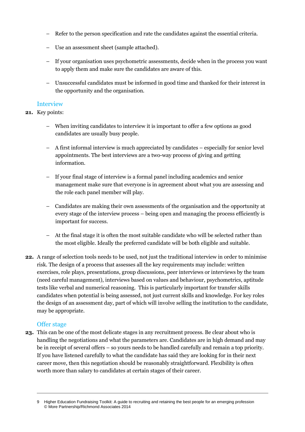- Refer to the person specification and rate the candidates against the essential criteria.
- Use an assessment sheet (sample attached).
- If your organisation uses psychometric assessments, decide when in the process you want to apply them and make sure the candidates are aware of this.
- Unsuccessful candidates must be informed in good time and thanked for their interest in the opportunity and the organisation.

#### Interview

#### **21.** Key points:

- When inviting candidates to interview it is important to offer a few options as good candidates are usually busy people.
- A first informal interview is much appreciated by candidates especially for senior level appointments. The best interviews are a two-way process of giving and getting information.
- If your final stage of interview is a formal panel including academics and senior management make sure that everyone is in agreement about what you are assessing and the role each panel member will play.
- Candidates are making their own assessments of the organisation and the opportunity at every stage of the interview process – being open and managing the process efficiently is important for success.
- At the final stage it is often the most suitable candidate who will be selected rather than the most eligible. Ideally the preferred candidate will be both eligible and suitable.
- **22.** A range of selection tools needs to be used, not just the traditional interview in order to minimise risk. The design of a process that assesses all the key requirements may include: written exercises, role plays, presentations, group discussions, peer interviews or interviews by the team (need careful management), interviews based on values and behaviour, psychometrics, aptitude tests like verbal and numerical reasoning. This is particularly important for transfer skills candidates when potential is being assessed, not just current skills and knowledge. For key roles the design of an assessment day, part of which will involve selling the institution to the candidate, may be appropriate.

#### Offer stage

**23.** This can be one of the most delicate stages in any recruitment process. Be clear about who is handling the negotiations and what the parameters are. Candidates are in high demand and may be in receipt of several offers – so yours needs to be handled carefully and remain a top priority. If you have listened carefully to what the candidate has said they are looking for in their next career move, then this negotiation should be reasonably straightforward. Flexibility is often worth more than salary to candidates at certain stages of their career.

Higher Education Fundraising Toolkit: A guide to recruiting and retaining the best people for an emerging profession © More Partnership/Richmond Associates 2014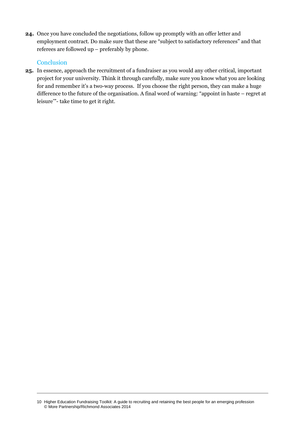**24.** Once you have concluded the negotiations, follow up promptly with an offer letter and employment contract. Do make sure that these are "subject to satisfactory references" and that referees are followed up – preferably by phone.

#### **Conclusion**

**25.** In essence, approach the recruitment of a fundraiser as you would any other critical, important project for your university. Think it through carefully, make sure you know what you are looking for and remember it's a two-way process. If you choose the right person, they can make a huge difference to the future of the organisation. A final word of warning: "appoint in haste – regret at leisure'"- take time to get it right.

<sup>10</sup> Higher Education Fundraising Toolkit: A guide to recruiting and retaining the best people for an emerging profession © More Partnership/Richmond Associates 2014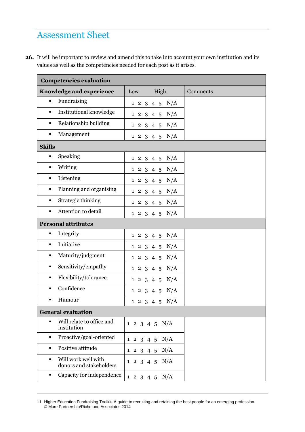## Assessment Sheet

**26.** It will be important to review and amend this to take into account your own institution and its values as well as the competencies needed for each post as it arises.

| <b>Competencies evaluation</b>                                   |     |                        |          |
|------------------------------------------------------------------|-----|------------------------|----------|
| Knowledge and experience                                         | Low | High                   | Comments |
| Fundraising<br>$\blacksquare$                                    |     | 1 2 3 4 5 N/A          |          |
| Institutional knowledge<br>$\blacksquare$                        |     | 1 2 3 4 5 N/A          |          |
| Relationship building<br>$\blacksquare$                          |     | 1 2 3 4 5 N/A          |          |
| Management<br>$\blacksquare$                                     |     | 1 2 3 4 5 N/A          |          |
| <b>Skills</b>                                                    |     |                        |          |
| Speaking<br>٠                                                    |     | 1 2 3 4 5 N/A          |          |
| Writing<br>٠                                                     |     | 1 2 3 4 5 N/A          |          |
| Listening<br>$\blacksquare$                                      |     | 1 2 3 4 5 N/A          |          |
| Planning and organising<br>$\blacksquare$                        |     | 1 2 3 4 5 N/A          |          |
| Strategic thinking<br>$\blacksquare$                             |     | 1 2 3 4 5 N/A          |          |
| Attention to detail<br>$\blacksquare$                            |     | 1 2 3 4 5 N/A          |          |
| <b>Personal attributes</b>                                       |     |                        |          |
| Integrity<br>$\blacksquare$                                      |     | 1 2 3 4 5 N/A          |          |
| Initiative<br>$\blacksquare$                                     |     | 1 2 3 4 5 N/A          |          |
| Maturity/judgment<br>٠                                           |     | N/A<br>$1\ 2\ 3\ 4\ 5$ |          |
| Sensitivity/empathy<br>٠                                         |     | 1 2 3 4 5 N/A          |          |
| Flexibility/tolerance<br>٠                                       |     | 1 2 3 4 5 N/A          |          |
| Confidence<br>٠                                                  |     | 1 2 3 4 5 N/A          |          |
| Humour<br>٠                                                      |     | 1 2 3 4 5 N/A          |          |
| <b>General evaluation</b>                                        |     |                        |          |
| Will relate to office and<br>$\blacksquare$<br>institution       |     | 1 2 3 4 5 N/A          |          |
| Proactive/goal-oriented<br>٠                                     |     | 1 2 3 4 5 N/A          |          |
| Positive attitude<br>$\blacksquare$                              |     | 1 2 3 4 5 N/A          |          |
| Will work well with<br>$\blacksquare$<br>donors and stakeholders |     | 1 2 3 4 5 N/A          |          |
| Capacity for independence<br>٠                                   |     | 1 2 3 4 5 N/A          |          |

<sup>11</sup> Higher Education Fundraising Toolkit: A guide to recruiting and retaining the best people for an emerging profession © More Partnership/Richmond Associates 2014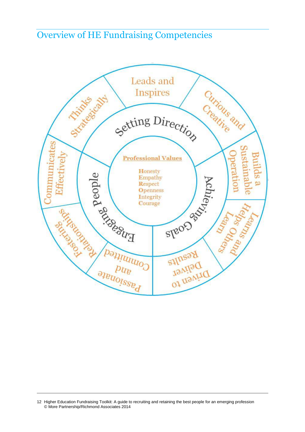Overview of HE Fundraising Competencies



<sup>12</sup> Higher Education Fundraising Toolkit: A guide to recruiting and retaining the best people for an emerging profession © More Partnership/Richmond Associates 2014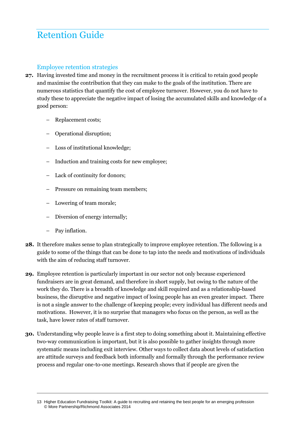# Retention Guide

## Employee retention strategies

- **27.** Having invested time and money in the recruitment process it is critical to retain good people and maximise the contribution that they can make to the goals of the institution. There are numerous statistics that quantify the cost of employee turnover. However, you do not have to study these to appreciate the negative impact of losing the accumulated skills and knowledge of a good person:
	- Replacement costs;
	- Operational disruption;
	- Loss of institutional knowledge;
	- Induction and training costs for new employee;
	- Lack of continuity for donors;
	- Pressure on remaining team members;
	- Lowering of team morale;
	- Diversion of energy internally;
	- Pay inflation.
- **28.** It therefore makes sense to plan strategically to improve employee retention. The following is a guide to some of the things that can be done to tap into the needs and motivations of individuals with the aim of reducing staff turnover.
- **29.** Employee retention is particularly important in our sector not only because experienced fundraisers are in great demand, and therefore in short supply, but owing to the nature of the work they do. There is a breadth of knowledge and skill required and as a relationship-based business, the disruptive and negative impact of losing people has an even greater impact. There is not a single answer to the challenge of keeping people; every individual has different needs and motivations. However, it is no surprise that managers who focus on the person, as well as the task, have lower rates of staff turnover.
- **30.** Understanding why people leave is a first step to doing something about it. Maintaining effective two-way communication is important, but it is also possible to gather insights through more systematic means including exit interview. Other ways to collect data about levels of satisfaction are attitude surveys and feedback both informally and formally through the performance review process and regular one-to-one meetings. Research shows that if people are given the

<sup>13</sup> Higher Education Fundraising Toolkit: A guide to recruiting and retaining the best people for an emerging profession © More Partnership/Richmond Associates 2014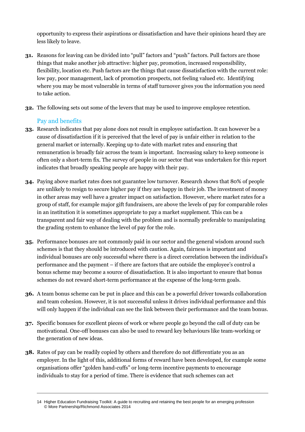opportunity to express their aspirations or dissatisfaction and have their opinions heard they are less likely to leave.

- **31.** Reasons for leaving can be divided into "pull" factors and "push" factors. Pull factors are those things that make another job attractive: higher pay, promotion, increased responsibility, flexibility, location etc. Push factors are the things that cause dissatisfaction with the current role: low pay, poor management, lack of promotion prospects, not feeling valued etc. Identifying where you may be most vulnerable in terms of staff turnover gives you the information you need to take action.
- **32.** The following sets out some of the levers that may be used to improve employee retention.

## Pay and benefits

- **33.** Research indicates that pay alone does not result in employee satisfaction. It can however be a cause of dissatisfaction if it is perceived that the level of pay is unfair either in relation to the general market or internally. Keeping up to date with market rates and ensuring that remuneration is broadly fair across the team is important. Increasing salary to keep someone is often only a short-term fix. The survey of people in our sector that was undertaken for this report indicates that broadly speaking people are happy with their pay.
- **34.** Paying above market rates does not guarantee low turnover. Research shows that 80% of people are unlikely to resign to secure higher pay if they are happy in their job. The investment of money in other areas may well have a greater impact on satisfaction. However, where market rates for a group of staff, for example major gift fundraisers, are above the levels of pay for comparable roles in an institution it is sometimes appropriate to pay a market supplement. This can be a transparent and fair way of dealing with the problem and is normally preferable to manipulating the grading system to enhance the level of pay for the role.
- **35.** Performance bonuses are not commonly paid in our sector and the general wisdom around such schemes is that they should be introduced with caution. Again, fairness is important and individual bonuses are only successful where there is a direct correlation between the individual's performance and the payment – if there are factors that are outside the employee's control a bonus scheme may become a source of dissatisfaction. It is also important to ensure that bonus schemes do not reward short-term performance at the expense of the long-term goals.
- **36.** A team bonus scheme can be put in place and this can be a powerful driver towards collaboration and team cohesion. However, it is not successful unless it drives individual performance and this will only happen if the individual can see the link between their performance and the team bonus.
- **37.** Specific bonuses for excellent pieces of work or where people go beyond the call of duty can be motivational. One-off bonuses can also be used to reward key behaviours like team-working or the generation of new ideas.
- **38.** Rates of pay can be readily copied by others and therefore do not differentiate you as an employer. In the light of this, additional forms of reward have been developed, for example some organisations offer "golden hand-cuffs" or long-term incentive payments to encourage individuals to stay for a period of time. There is evidence that such schemes can act

<sup>14</sup> Higher Education Fundraising Toolkit: A guide to recruiting and retaining the best people for an emerging profession © More Partnership/Richmond Associates 2014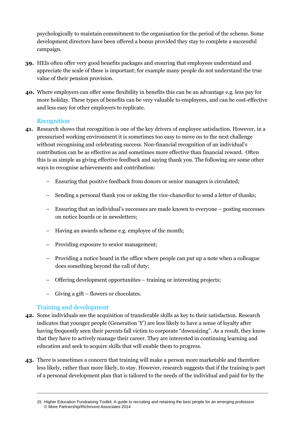psychologically to maintain commitment to the organisation for the period of the scheme. Some development directors have been offered a bonus provided they stay to complete a successful campaign.

- **39.** HEIs often offer very good benefits packages and ensuring that employees understand and appreciate the scale of these is important; for example many people do not understand the true value of their pension provision.
- **40.** Where employers can offer some flexibility in benefits this can be an advantage e.g. less pay for more holiday. These types of benefits can be very valuable to employees, and can be cost-effective and less easy for other employers to replicate.

### Recognition

- **41.** Research shows that recognition is one of the key drivers of employee satisfaction. However, in a pressurised working environment it is sometimes too easy to move on to the next challenge without recognising and celebrating success. Non-financial recognition of an individual's contribution can be as effective as and sometimes more effective than financial reward. Often this is as simple as giving effective feedback and saying thank you. The following are some other ways to recognise achievements and contribution:
	- Ensuring that positive feedback from donors or senior managers is circulated;
	- Sending a personal thank you or asking the vice-chancellor to send a letter of thanks;
	- Ensuring that an individual's successes are made known to everyone posting successes on notice boards or in newsletters;
	- Having an awards scheme e.g. employee of the month;
	- Providing exposure to senior management;
	- Providing a notice board in the office where people can put up a note when a colleague does something beyond the call of duty;
	- Offering development opportunities training or interesting projects;
	- Giving a gift flowers or chocolates.

#### Training and development

- **42.** Some individuals see the acquisition of transferable skills as key to their satisfaction. Research indicates that younger people (Generation 'Y') are less likely to have a sense of loyalty after having frequently seen their parents fall victim to corporate "downsizing". As a result, they know that they have to actively manage their career. They are interested in continuing learning and education and seek to acquire skills that will enable them to progress.
- **43.** There is sometimes a concern that training will make a person more marketable and therefore less likely, rather than more likely, to stay. However, research suggests that if the training is part of a personal development plan that is tailored to the needs of the individual and paid for by the

<sup>15</sup> Higher Education Fundraising Toolkit: A guide to recruiting and retaining the best people for an emerging profession © More Partnership/Richmond Associates 2014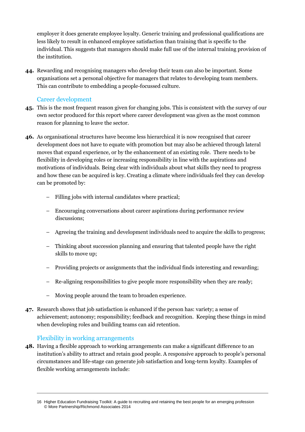employer it does generate employee loyalty. Generic training and professional qualifications are less likely to result in enhanced employee satisfaction than training that is specific to the individual. This suggests that managers should make full use of the internal training provision of the institution.

**44.** Rewarding and recognising managers who develop their team can also be important. Some organisations set a personal objective for managers that relates to developing team members. This can contribute to embedding a people-focussed culture.

## Career development

- **45.** This is the most frequent reason given for changing jobs. This is consistent with the survey of our own sector produced for this report where career development was given as the most common reason for planning to leave the sector.
- **46.** As organisational structures have become less hierarchical it is now recognised that career development does not have to equate with promotion but may also be achieved through lateral moves that expand experience, or by the enhancement of an existing role. There needs to be flexibility in developing roles or increasing responsibility in line with the aspirations and motivations of individuals. Being clear with individuals about what skills they need to progress and how these can be acquired is key. Creating a climate where individuals feel they can develop can be promoted by:
	- Filling jobs with internal candidates where practical;
	- Encouraging conversations about career aspirations during performance review discussions;
	- Agreeing the training and development individuals need to acquire the skills to progress;
	- Thinking about succession planning and ensuring that talented people have the right skills to move up;
	- Providing projects or assignments that the individual finds interesting and rewarding;
	- Re-aligning responsibilities to give people more responsibility when they are ready;
	- Moving people around the team to broaden experience.
- **47.** Research shows that job satisfaction is enhanced if the person has: variety; a sense of achievement; autonomy; responsibility; feedback and recognition. Keeping these things in mind when developing roles and building teams can aid retention.

#### Flexibility in working arrangements

**48.** Having a flexible approach to working arrangements can make a significant difference to an institution's ability to attract and retain good people. A responsive approach to people's personal circumstances and life-stage can generate job satisfaction and long-term loyalty. Examples of flexible working arrangements include:

<sup>16</sup> Higher Education Fundraising Toolkit: A guide to recruiting and retaining the best people for an emerging profession © More Partnership/Richmond Associates 2014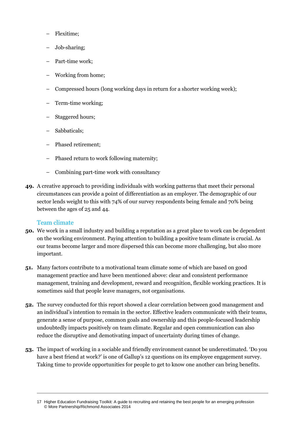- Flexitime;
- Job-sharing;
- Part-time work;
- Working from home;
- Compressed hours (long working days in return for a shorter working week);
- Term-time working;
- Staggered hours;
- Sabbaticals;
- Phased retirement;
- Phased return to work following maternity;
- Combining part-time work with consultancy
- **49.** A creative approach to providing individuals with working patterns that meet their personal circumstances can provide a point of differentiation as an employer. The demographic of our sector lends weight to this with 74% of our survey respondents being female and 70% being between the ages of 25 and 44.

#### Team climate

- **50.** We work in a small industry and building a reputation as a great place to work can be dependent on the working environment. Paying attention to building a positive team climate is crucial. As our teams become larger and more dispersed this can become more challenging, but also more important.
- **51.** Many factors contribute to a motivational team climate some of which are based on good management practice and have been mentioned above: clear and consistent performance management, training and development, reward and recognition, flexible working practices. It is sometimes said that people leave managers, not organisations.
- **52.** The survey conducted for this report showed a clear correlation between good management and an individual's intention to remain in the sector. Effective leaders communicate with their teams, generate a sense of purpose, common goals and ownership and this people-focused leadership undoubtedly impacts positively on team climate. Regular and open communication can also reduce the disruptive and demotivating impact of uncertainty during times of change.
- **53.** The impact of working in a sociable and friendly environment cannot be underestimated. 'Do you have a best friend at work?' is one of Gallup's 12 questions on its employee engagement survey. Taking time to provide opportunities for people to get to know one another can bring benefits.

<sup>17</sup> Higher Education Fundraising Toolkit: A guide to recruiting and retaining the best people for an emerging profession © More Partnership/Richmond Associates 2014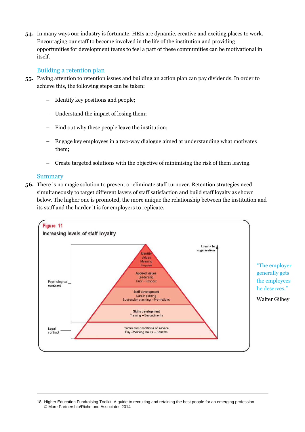**54.** In many ways our industry is fortunate. HEIs are dynamic, creative and exciting places to work. Encouraging our staff to become involved in the life of the institution and providing opportunities for development teams to feel a part of these communities can be motivational in itself.

#### Building a retention plan

- **55.** Paying attention to retention issues and building an action plan can pay dividends. In order to achieve this, the following steps can be taken:
	- Identify key positions and people;
	- Understand the impact of losing them;
	- Find out why these people leave the institution;
	- Engage key employees in a two-way dialogue aimed at understanding what motivates them;
	- Create targeted solutions with the objective of minimising the risk of them leaving.

#### Summary

**56.** There is no magic solution to prevent or eliminate staff turnover. Retention strategies need simultaneously to target different layers of staff satisfaction and build staff loyalty as shown below. The higher one is promoted, the more unique the relationship between the institution and its staff and the harder it is for employers to replicate.



<sup>18</sup> Higher Education Fundraising Toolkit: A guide to recruiting and retaining the best people for an emerging profession © More Partnership/Richmond Associates 2014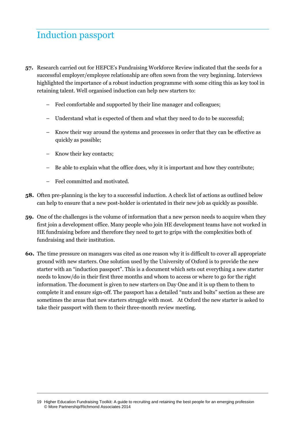# Induction passport

- **57.** Research carried out for HEFCE's Fundraising Workforce Review indicated that the seeds for a successful employer/employee relationship are often sown from the very beginning. Interviews highlighted the importance of a robust induction programme with some citing this as key tool in retaining talent. Well organised induction can help new starters to:
	- Feel comfortable and supported by their line manager and colleagues;
	- Understand what is expected of them and what they need to do to be successful;
	- Know their way around the systems and processes in order that they can be effective as quickly as possible;
	- Know their key contacts;
	- Be able to explain what the office does, why it is important and how they contribute;
	- Feel committed and motivated.
- **58.** Often pre-planning is the key to a successful induction. A check list of actions as outlined below can help to ensure that a new post-holder is orientated in their new job as quickly as possible.
- **59.** One of the challenges is the volume of information that a new person needs to acquire when they first join a development office. Many people who join HE development teams have not worked in HE fundraising before and therefore they need to get to grips with the complexities both of fundraising and their institution.
- **60.** The time pressure on managers was cited as one reason why it is difficult to cover all appropriate ground with new starters. One solution used by the University of Oxford is to provide the new starter with an "induction passport". This is a document which sets out everything a new starter needs to know/do in their first three months and whom to access or where to go for the right information. The document is given to new starters on Day One and it is up them to them to complete it and ensure sign-off. The passport has a detailed "nuts and bolts" section as these are sometimes the areas that new starters struggle with most. At Oxford the new starter is asked to take their passport with them to their three-month review meeting.

<sup>19</sup> Higher Education Fundraising Toolkit: A guide to recruiting and retaining the best people for an emerging profession © More Partnership/Richmond Associates 2014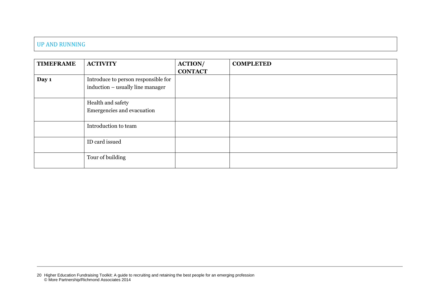### UP AND RUNNING

| <b>TIMEFRAME</b> | <b>ACTIVITY</b>                                                         | <b>ACTION/</b> | <b>COMPLETED</b> |
|------------------|-------------------------------------------------------------------------|----------------|------------------|
|                  |                                                                         | <b>CONTACT</b> |                  |
| Day 1            | Introduce to person responsible for<br>induction – usually line manager |                |                  |
|                  | Health and safety<br>Emergencies and evacuation                         |                |                  |
|                  | Introduction to team                                                    |                |                  |
|                  | ID card issued                                                          |                |                  |
|                  | Tour of building                                                        |                |                  |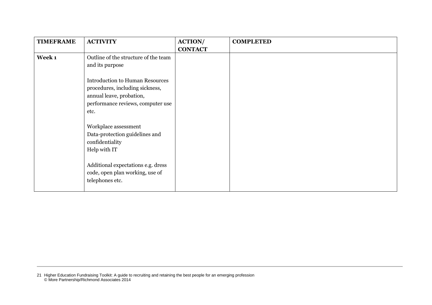| <b>TIMEFRAME</b> | <b>ACTIVITY</b>                                                                                                                                    | <b>ACTION/</b><br><b>CONTACT</b> | <b>COMPLETED</b> |
|------------------|----------------------------------------------------------------------------------------------------------------------------------------------------|----------------------------------|------------------|
| Week 1           | Outline of the structure of the team<br>and its purpose                                                                                            |                                  |                  |
|                  | <b>Introduction to Human Resources</b><br>procedures, including sickness,<br>annual leave, probation,<br>performance reviews, computer use<br>etc. |                                  |                  |
|                  | Workplace assessment<br>Data-protection guidelines and<br>confidentiality<br>Help with IT                                                          |                                  |                  |
|                  | Additional expectations e.g. dress<br>code, open plan working, use of<br>telephones etc.                                                           |                                  |                  |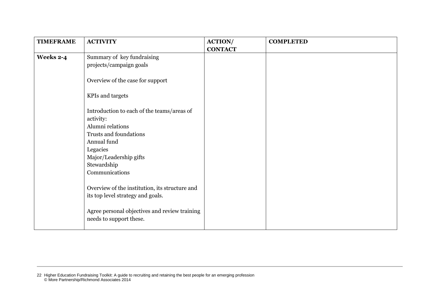| <b>TIMEFRAME</b> | <b>ACTIVITY</b>                                                          | <b>ACTION/</b><br><b>CONTACT</b> | <b>COMPLETED</b> |
|------------------|--------------------------------------------------------------------------|----------------------------------|------------------|
| Weeks 2-4        | Summary of key fundraising<br>projects/campaign goals                    |                                  |                  |
|                  | Overview of the case for support                                         |                                  |                  |
|                  | <b>KPIs and targets</b>                                                  |                                  |                  |
|                  | Introduction to each of the teams/areas of                               |                                  |                  |
|                  | activity:                                                                |                                  |                  |
|                  | Alumni relations                                                         |                                  |                  |
|                  | Trusts and foundations                                                   |                                  |                  |
|                  | Annual fund                                                              |                                  |                  |
|                  | Legacies                                                                 |                                  |                  |
|                  | Major/Leadership gifts                                                   |                                  |                  |
|                  | Stewardship                                                              |                                  |                  |
|                  | Communications                                                           |                                  |                  |
|                  | Overview of the institution, its structure and                           |                                  |                  |
|                  | its top level strategy and goals.                                        |                                  |                  |
|                  | Agree personal objectives and review training<br>needs to support these. |                                  |                  |

<sup>22</sup> Higher Education Fundraising Toolkit: A guide to recruiting and retaining the best people for an emerging profession © More Partnership/Richmond Associates 2014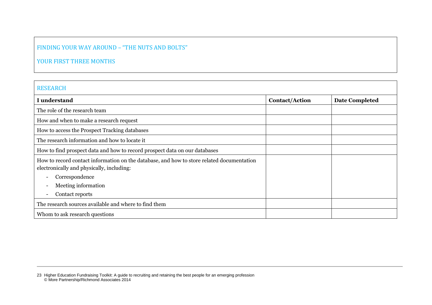## FINDING YOUR WAY AROUND – "THE NUTS AND BOLTS"

## YOUR FIRST THREE MONTHS

| <b>RESEARCH</b>                                                                                                                        |                       |                       |
|----------------------------------------------------------------------------------------------------------------------------------------|-----------------------|-----------------------|
| I understand                                                                                                                           | <b>Contact/Action</b> | <b>Date Completed</b> |
| The role of the research team                                                                                                          |                       |                       |
| How and when to make a research request                                                                                                |                       |                       |
| How to access the Prospect Tracking databases                                                                                          |                       |                       |
| The research information and how to locate it                                                                                          |                       |                       |
| How to find prospect data and how to record prospect data on our databases                                                             |                       |                       |
| How to record contact information on the database, and how to store related documentation<br>electronically and physically, including: |                       |                       |
| Correspondence                                                                                                                         |                       |                       |
| Meeting information                                                                                                                    |                       |                       |
| Contact reports<br>$\overline{\phantom{a}}$                                                                                            |                       |                       |
| The research sources available and where to find them                                                                                  |                       |                       |
| Whom to ask research questions                                                                                                         |                       |                       |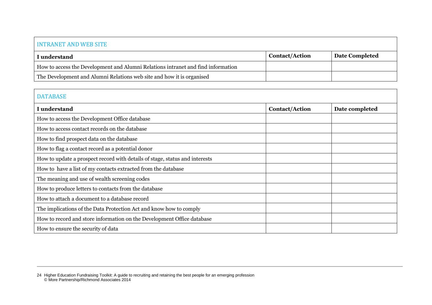### INTRANET AND WEB SITE

| I understand                                                                     | <b>Contact/Action</b> | Date Completed |
|----------------------------------------------------------------------------------|-----------------------|----------------|
| How to access the Development and Alumni Relations intranet and find information |                       |                |
| The Development and Alumni Relations web site and how it is organised            |                       |                |

## DATABASE

| <b>I</b> understand                                                         | <b>Contact/Action</b> | Date completed |
|-----------------------------------------------------------------------------|-----------------------|----------------|
| How to access the Development Office database                               |                       |                |
| How to access contact records on the database                               |                       |                |
| How to find prospect data on the database                                   |                       |                |
| How to flag a contact record as a potential donor                           |                       |                |
| How to update a prospect record with details of stage, status and interests |                       |                |
| How to have a list of my contacts extracted from the database               |                       |                |
| The meaning and use of wealth screening codes                               |                       |                |
| How to produce letters to contacts from the database                        |                       |                |
| How to attach a document to a database record                               |                       |                |
| The implications of the Data Protection Act and know how to comply          |                       |                |
| How to record and store information on the Development Office database      |                       |                |
| How to ensure the security of data                                          |                       |                |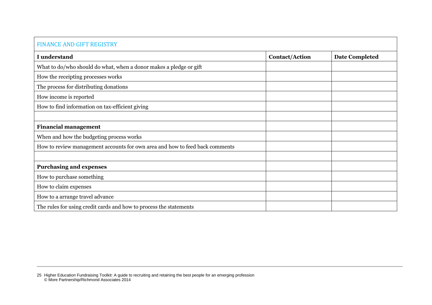## FINANCE AND GIFT REGISTRY I understand **I** contact/Action **Date Completed** What to do/who should do what, when a donor makes a pledge or gift How the receipting processes works The process for distributing donations How income is reported How to find information on tax-efficient giving **Financial management** When and how the budgeting process works How to review management accounts for own area and how to feed back comments **Purchasing and expenses** How to purchase something How to claim expenses How to a arrange travel advance The rules for using credit cards and how to process the statements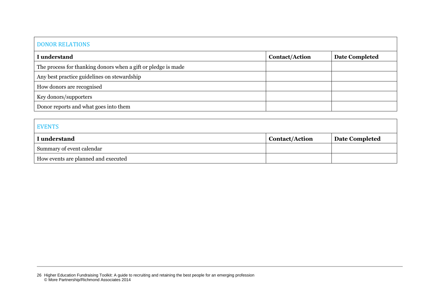## DONOR RELATIONS

| I understand                                                  | <b>Contact/Action</b> | <b>Date Completed</b> |
|---------------------------------------------------------------|-----------------------|-----------------------|
| The process for thanking donors when a gift or pledge is made |                       |                       |
| Any best practice guidelines on stewardship                   |                       |                       |
| How donors are recognised                                     |                       |                       |
| Key donors/supporters                                         |                       |                       |
| Donor reports and what goes into them                         |                       |                       |

| <b>EVENTS</b>                       |                       |                |
|-------------------------------------|-----------------------|----------------|
| I understand                        | <b>Contact/Action</b> | Date Completed |
| Summary of event calendar           |                       |                |
| How events are planned and executed |                       |                |

<sup>26</sup> Higher Education Fundraising Toolkit: A guide to recruiting and retaining the best people for an emerging profession © More Partnership/Richmond Associates 2014